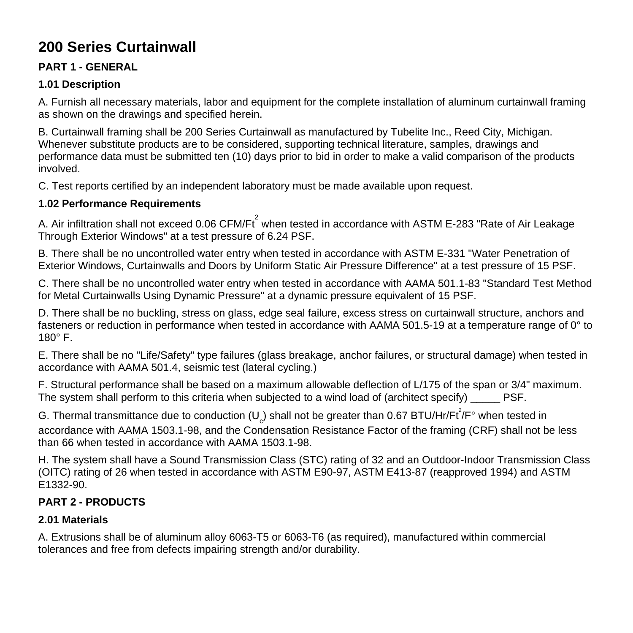# **200 Series Curtainwall**

### **PART 1 - GENERAL**

### **1.01 Description**

A. Furnish all necessary materials, labor and equipment for the complete installation of aluminum curtainwall framing as shown on the drawings and specified herein.

B. Curtainwall framing shall be 200 Series Curtainwall as manufactured by Tubelite Inc., Reed City, Michigan. Whenever substitute products are to be considered, supporting technical literature, samples, drawings and performance data must be submitted ten (10) days prior to bid in order to make a valid comparison of the products involved.

C. Test reports certified by an independent laboratory must be made available upon request.

### **1.02 Performance Requirements**

A. Air infiltration shall not exceed 0.06 CFM/Ft $^{2}$  when tested in accordance with ASTM E-283 "Rate of Air Leakage Through Exterior Windows" at a test pressure of 6.24 PSF.

B. There shall be no uncontrolled water entry when tested in accordance with ASTM E-331 "Water Penetration of Exterior Windows, Curtainwalls and Doors by Uniform Static Air Pressure Difference" at a test pressure of 15 PSF.

C. There shall be no uncontrolled water entry when tested in accordance with AAMA 501.1-83 "Standard Test Method for Metal Curtainwalls Using Dynamic Pressure" at a dynamic pressure equivalent of 15 PSF.

D. There shall be no buckling, stress on glass, edge seal failure, excess stress on curtainwall structure, anchors and fasteners or reduction in performance when tested in accordance with AAMA 501.5-19 at a temperature range of 0° to  $180^\circ$  F.

E. There shall be no "Life/Safety" type failures (glass breakage, anchor failures, or structural damage) when tested in accordance with AAMA 501.4, seismic test (lateral cycling.)

F. Structural performance shall be based on a maximum allowable deflection of L/175 of the span or 3/4" maximum. The system shall perform to this criteria when subjected to a wind load of (architect specify) PSF.

G. Thermal transmittance due to conduction (U<sub>c</sub>) shall not be greater than 0.67 BTU/Hr/Ft<sup>2</sup>/F° when tested in accordance with AAMA 1503.1-98, and the Condensation Resistance Factor of the framing (CRF) shall not be less than 66 when tested in accordance with AAMA 1503.1-98.

H. The system shall have a Sound Transmission Class (STC) rating of 32 and an Outdoor-Indoor Transmission Class (OITC) rating of 26 when tested in accordance with ASTM E90-97, ASTM E413-87 (reapproved 1994) and ASTM E1332-90.

## **PART 2 - PRODUCTS**

#### **2.01 Materials**

A. Extrusions shall be of aluminum alloy 6063-T5 or 6063-T6 (as required), manufactured within commercial tolerances and free from defects impairing strength and/or durability.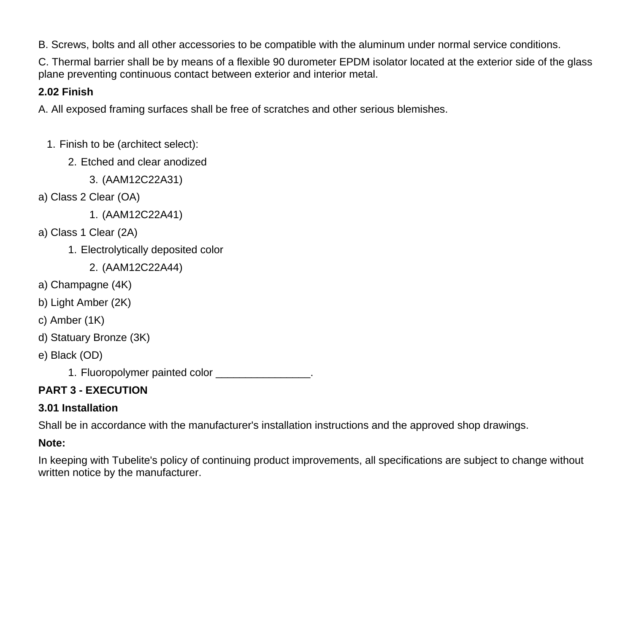B. Screws, bolts and all other accessories to be compatible with the aluminum under normal service conditions.

C. Thermal barrier shall be by means of a flexible 90 durometer EPDM isolator located at the exterior side of the glass plane preventing continuous contact between exterior and interior metal.

### **2.02 Finish**

A. All exposed framing surfaces shall be free of scratches and other serious blemishes.

- 1. Finish to be (architect select):
	- 2. Etched and clear anodized
		- 3. (AAM12C22A31)
- a) Class 2 Clear (OA)
	- 1. (AAM12C22A41)
- a) Class 1 Clear (2A)
	- 1. Electrolytically deposited color
		- 2. (AAM12C22A44)
- a) Champagne (4K)
- b) Light Amber (2K)
- c) Amber (1K)
- d) Statuary Bronze (3K)
- e) Black (OD)
	- 1. Fluoropolymer painted color **color** and the set of the set of the set of the set of the set of the set of the set of the set of the set of the set of the set of the set of the set of the set of the set of the set of the

# **PART 3 - EXECUTION**

## **3.01 Installation**

Shall be in accordance with the manufacturer's installation instructions and the approved shop drawings.

# **Note:**

In keeping with Tubelite's policy of continuing product improvements, all specifications are subject to change without written notice by the manufacturer.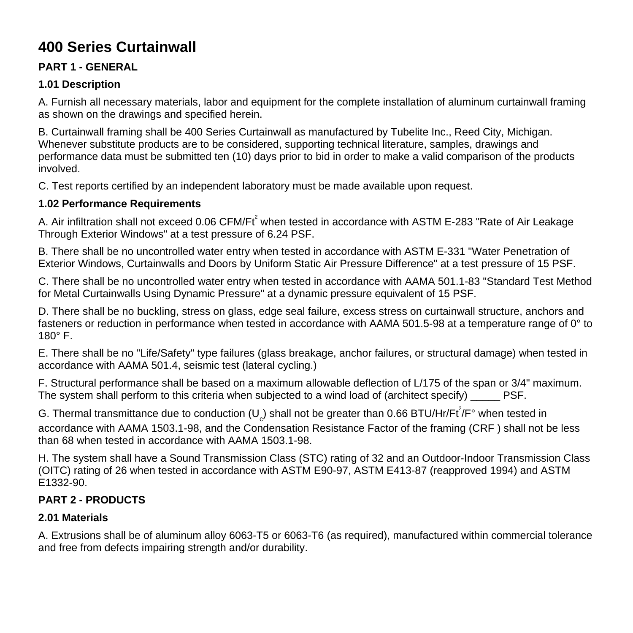# **400 Series Curtainwall**

### **PART 1 - GENERAL**

### **1.01 Description**

A. Furnish all necessary materials, labor and equipment for the complete installation of aluminum curtainwall framing as shown on the drawings and specified herein.

B. Curtainwall framing shall be 400 Series Curtainwall as manufactured by Tubelite Inc., Reed City, Michigan. Whenever substitute products are to be considered, supporting technical literature, samples, drawings and performance data must be submitted ten (10) days prior to bid in order to make a valid comparison of the products involved.

C. Test reports certified by an independent laboratory must be made available upon request.

#### **1.02 Performance Requirements**

A. Air infiltration shall not exceed 0.06 CFM/Ft<sup>2</sup> when tested in accordance with ASTM E-283 "Rate of Air Leakage Through Exterior Windows" at a test pressure of 6.24 PSF.

B. There shall be no uncontrolled water entry when tested in accordance with ASTM E-331 "Water Penetration of Exterior Windows, Curtainwalls and Doors by Uniform Static Air Pressure Difference" at a test pressure of 15 PSF.

C. There shall be no uncontrolled water entry when tested in accordance with AAMA 501.1-83 "Standard Test Method for Metal Curtainwalls Using Dynamic Pressure" at a dynamic pressure equivalent of 15 PSF.

D. There shall be no buckling, stress on glass, edge seal failure, excess stress on curtainwall structure, anchors and fasteners or reduction in performance when tested in accordance with AAMA 501.5-98 at a temperature range of 0° to  $180^\circ$  F.

E. There shall be no "Life/Safety" type failures (glass breakage, anchor failures, or structural damage) when tested in accordance with AAMA 501.4, seismic test (lateral cycling.)

F. Structural performance shall be based on a maximum allowable deflection of L/175 of the span or 3/4" maximum. The system shall perform to this criteria when subjected to a wind load of (architect specify) PSF.

G. Thermal transmittance due to conduction (U<sub>c</sub>) shall not be greater than 0.66 BTU/Hr/Ft<sup>2</sup>/F° when tested in accordance with AAMA 1503.1-98, and the Condensation Resistance Factor of the framing (CRF ) shall not be less than 68 when tested in accordance with AAMA 1503.1-98.

H. The system shall have a Sound Transmission Class (STC) rating of 32 and an Outdoor-Indoor Transmission Class (OITC) rating of 26 when tested in accordance with ASTM E90-97, ASTM E413-87 (reapproved 1994) and ASTM E1332-90.

### **PART 2 - PRODUCTS**

### **2.01 Materials**

A. Extrusions shall be of aluminum alloy 6063-T5 or 6063-T6 (as required), manufactured within commercial tolerance and free from defects impairing strength and/or durability.